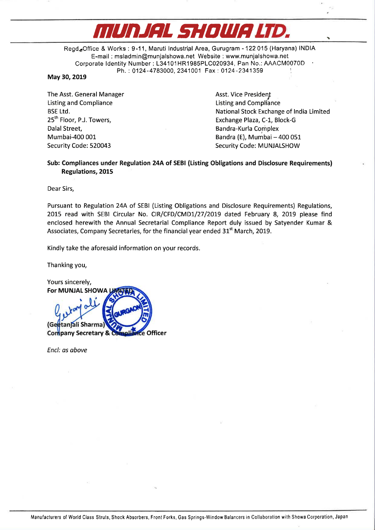# MUDJHI. flIDlllflU'D. .

Regd.,Office & Works: 9-11. Maruti Industrial Area, Gurugram - 122 015 (Haryana) INDIA E-mail : msladmin@munjalshowa.net Website : www.munjalshowa.net Corporate Identity Number: L34101HR1985PLC020934, Pan No.: AAACM0070D Ph. : 0124-4783000, 2341001 Fax: 0124-2341359

#### May 30, 2019

The Asst. General Manager<br>
Listing and Compliance<br>
Listing and Compliance<br>
Asst. Vice President Listing and Compliance **Listing and Compliance**<br>
BSE Ltd. Compliance **Listing and Compliance** Dalal Street, Bandra—Kurla Complex

BSE Ltd.<br>
25<sup>th</sup> Floor, P.J. Towers, **National Stock Exchange of India Limited**<br>
Exchange Plaza, C-1, Block-G 25<sup>th</sup> Floor, P.J. Towers, Exchange Plaza, C-1, Block-G<br>Dalal Street. Exchange Plaza, C-1, Block-G Mumbai-400 001 Bandra (E), Mumbai — 400 051 Security Code: 520043 Security Code: MUNJALSHOW

### Sub: Compliances under Regulation 24A of SEBI (Listing Obligations and Disclosure Requirements) Regulations, 2015

Dear Sirs,

Pursuant to Regulation 24A of SEBI (Listing Obligations and Disclosure Requirements) Regulations, 2015 read with SEBI Circular No. CIR/CFD/CMD1/27/2019 dated February 8, 2019 please find enclosed herewith the Annual Secretarial Compliance Report duly issued by Satyender Kumar & Associates, Company Secretaries, for the financial year ended  $31<sup>st</sup>$  March, 2019.

Kindly take the aforesaid information on your records.

Thanking you,

Yours sincerely, For MUNJAL SHOWA l tan ali Sharma Company Secretary & C Officer

Encl: as above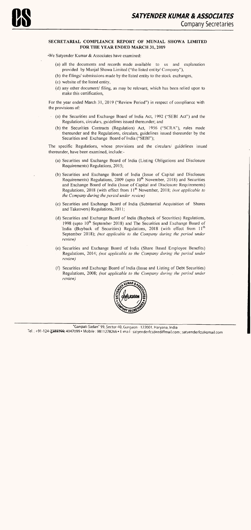## SECRETARIAL COMPLIANCE REPORT OF MUNJAL SHOWA LIMITED FOR THE YEAR ENDED MARCH 31, 2019

'We Satyender Kumar & Associates have examined:

- (a) the Securities and Exchange Board of India Act, <sup>1992</sup> ("SEBI Act") and the Regulations, circulars, guidelines issued thereunder; and
- (b) the Securities Contracts (Regulation) Act, 1956 ("SCRA"), rules made thereunder and the Regulations, circulars, guidelines issued thereunder by the Securities and Exchange Board of India ("SEBI");
- (a) all the documents and records made available to us and explanation provided by Munjal Showa Limited ("the listed entity/ Company"),
- (b) the filings/ submissions made by the listed entity to the stock exchanges,
- (c) website of the listed entity,
- (d) any other document/ filing, as may be relevant, which has been relied upon to make this certification,

For the year ended March 31, 2019 ("Review Period") in respect of compliance with the provisions of:

The specific Regulations, whose provisions and the circulars/ guidelines issued thereunder, have been examined, include:-

- (3) Securities and Exchange Board of India (Listing Obligations and Disclosure Requirements) Regulations, 2015;
- (b) Securities and Exchange Board of India (Issue of Capital and Disclosure Requirements) Regulations,  $2009$  (upto  $10<sup>th</sup>$  November,  $2018$ ) and Securities and Exchange Board of India (Issue of Capital and Disclosure Requirements) Regulations, 2018 (with effect from  $H^{\text{th}}$  November, 2018; (not applicable to the Company during the period under review)
- (c) Securities and Exchange Board of India (Substantial Acquisition of Shares and Takeovers) Regulations, 201 1;
- (d) Securities and Exchange Board of India (Buyback of Securities) Regulations, 1998 (upto 10<sup>th</sup> September 2018) and The Securities and Exchange Board of India (Buyback of Securities) Regulations, 2018 (with effect from 11<sup>th</sup> September 2018); (not applicable to the Company during the period under review)
- (e) Securities and Exchange Board of India (Share Based Employee Benefits) Regulations, 2014; (not applicable to the Company during the period under review)
- (f) Securities and Exchange Board of India (Issue and Listing of Debt Securities) Regulations, 2008; (not applicable to the Company during the period under review)

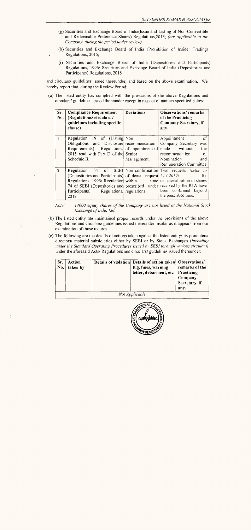- (g) Securities and Exchange Board of India(Issue and Listing of Non—Convertible and Redeemable Preference Shares) Regulations,2013; (not applicable to the Company during the period under review)
- (h) Securities and Exchange Board of India (Prohibition of Insider Trading) . Regulations, 2015;
- (i) Securities and Exchange Board of India (Depositories and Participants) Regulations, 1996/ Securities and Exchange Board of India (Depositories and Participants) Regulations, 2018

| Sr.<br>No. | <b>Compliance Requirement</b><br>(Regulations/circulars/<br>guidelines including specific<br>clause)                                                                                                                                                                           | <b>Deviations</b> | <b>Observations</b> /remarks<br>of the Practicing<br>Company Secretary, if<br>any.                                                           |
|------------|--------------------------------------------------------------------------------------------------------------------------------------------------------------------------------------------------------------------------------------------------------------------------------|-------------------|----------------------------------------------------------------------------------------------------------------------------------------------|
| 1.         | Regulation 19 of (Listing Non<br>and Disclosure recommendation<br>Obligations<br>Requirements) Regulations, of appointment of<br>2015 read with Part D of the Senior<br>Schedule II.                                                                                           | Management.       | of<br>Appointment<br>Company Secretary<br>was<br>made without<br>the<br>recommendation<br>-of<br>Nomination<br>and<br>Remuneration Committee |
| 2.         | Regulation<br>(Depositories and Participants) of demat request 24.1.2019)<br>Regulations, 1996/ Regulation within time dematerialisation of shares<br>74 of SEBI (Depositories and prescribed under received by the RTA have<br>Participants) Regulations, regulations<br>2018 |                   | 54 of SEBI Non confirmation Two requests (prior to<br>for<br>been confirmed beyond<br>the prescribed time.                                   |

Note: 14000 equity shares of the Company are not listed at the National Stock Exchange of India Ltd.

and circulars/ guidelines issued thereunder; and based on the above examination, We hereby report that, during the Review Period:

(a) The listed entity has complied with the provisions of the above Regulations and circulars/ guidelines issued thereunder except in respect of matters specified below:

- (b) The listed entity has maintained proper records under the provisions of the above Regulations and circulars/ guidelines issued thereunder insofar as it appears from our examination of those records.
- (c) The following are the details of actions taken against the listed entity/ its promoters/ directors/ material subsidiaries either by SEBI or by Stock Exchanges (including under the Standard Operating Procedures issued by SEBI through various circulars) under the aforesaid Acts/ Regulations and circulars/ guidelines issued thereunder:

| Sr.<br>No. | Action<br>taken by | Details of violation Details of action taken Observations/<br>E.g. fines, warning<br>letter, debarment, etc. Practicing | remarks of the<br>Company<br>Secretary, if<br>any. |
|------------|--------------------|-------------------------------------------------------------------------------------------------------------------------|----------------------------------------------------|
|            |                    | Not Applicable                                                                                                          |                                                    |